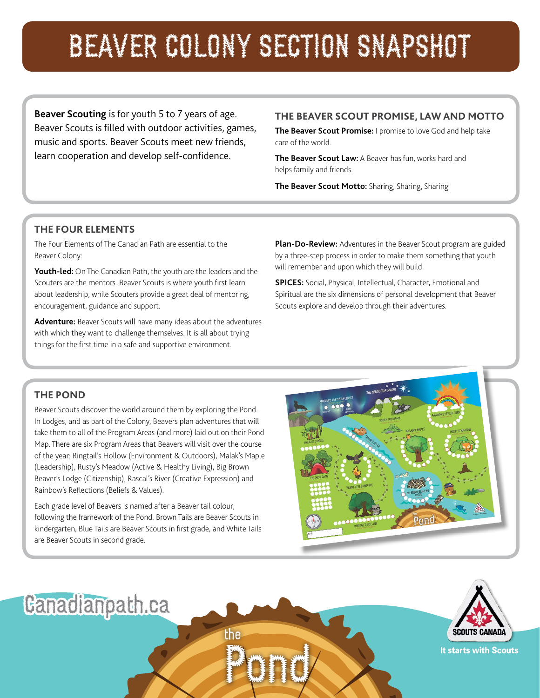# BEAVER COLONY SECTION SNAPSHOT

**Beaver Scouting** is for youth 5 to 7 years of age. Beaver Scouts is filled with outdoor activities, games, music and sports. Beaver Scouts meet new friends, learn cooperation and develop self-confidence.

# **THE BEAVER SCOUT PROMISE, LAW AND MOTTO**

**The Beaver Scout Promise:** I promise to love God and help take care of the world.

**The Beaver Scout Law:** A Beaver has fun, works hard and helps family and friends.

**The Beaver Scout Motto:** Sharing, Sharing, Sharing

## **THE FOUR ELEMENTS**

The Four Elements of The Canadian Path are essential to the Beaver Colony:

**Youth-led:** On The Canadian Path, the youth are the leaders and the Scouters are the mentors. Beaver Scouts is where youth first learn about leadership, while Scouters provide a great deal of mentoring, encouragement, guidance and support.

**Adventure:** Beaver Scouts will have many ideas about the adventures with which they want to challenge themselves. It is all about trying things for the first time in a safe and supportive environment.

**Plan-Do-Review:** Adventures in the Beaver Scout program are guided by a three-step process in order to make them something that youth will remember and upon which they will build.

**SPICES:** Social, Physical, Intellectual, Character, Emotional and Spiritual are the six dimensions of personal development that Beaver Scouts explore and develop through their adventures.

## **THE POND**

Beaver Scouts discover the world around them by exploring the Pond. In Lodges, and as part of the Colony, Beavers plan adventures that will take them to all of the Program Areas (and more) laid out on their Pond Map. There are six Program Areas that Beavers will visit over the course of the year: Ringtail's Hollow (Environment & Outdoors), Malak's Maple (Leadership), Rusty's Meadow (Active & Healthy Living), Big Brown Beaver's Lodge (Citizenship), Rascal's River (Creative Expression) and Rainbow's Reflections (Beliefs & Values).

Each grade level of Beavers is named after a Beaver tail colour, following the framework of the Pond. Brown Tails are Beaver Scouts in kindergarten, Blue Tails are Beaver Scouts in first grade, and White Tails are Beaver Scouts in second grade.